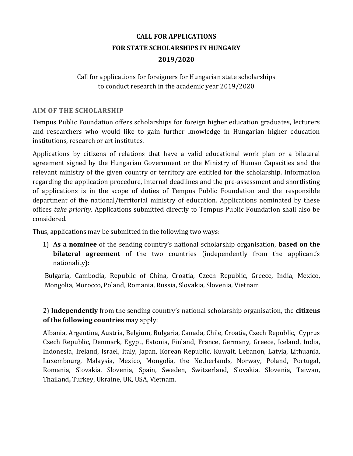# **CALL FOR APPLICATIONS FOR STATE SCHOLARSHIPS IN HUNGARY 2019/2020**

### Call for applications for foreigners for Hungarian state scholarships to conduct research in the academic year 2019/2020

### **AIM OF THE SCHOLARSHIP**

Tempus Public Foundation offers scholarships for foreign higher education graduates, lecturers and researchers who would like to gain further knowledge in Hungarian higher education institutions, research or art institutes.

Applications by citizens of relations that have a valid educational work plan or a bilateral agreement signed by the Hungarian Government or the Ministry of Human Capacities and the relevant ministry of the given country or territory are entitled for the scholarship. Information regarding the application procedure, internal deadlines and the pre-assessment and shortlisting of applications is in the scope of duties of Tempus Public Foundation and the responsible department of the national/territorial ministry of education. Applications nominated by these offices *take priority.* Applications submitted directly to Tempus Public Foundation shall also be considered.

Thus, applications may be submitted in the following two ways:

1) **As a nominee** of the sending country's national scholarship organisation, **based on the bilateral agreement** of the two countries (independently from the applicant's nationality):

Bulgaria, Cambodia, Republic of China, Croatia, Czech Republic, Greece, India, Mexico, Mongolia, Morocco, Poland, Romania, Russia, Slovakia, Slovenia, Vietnam

2) **Independently** from the sending country's national scholarship organisation, the **citizens of the following countries** may apply:

Albania, Argentina, Austria, Belgium, Bulgaria, Canada, Chile, Croatia, Czech Republic, Cyprus Czech Republic, Denmark, Egypt, Estonia, Finland, France, Germany, Greece, Iceland, India, Indonesia, Ireland, Israel, Italy, Japan, Korean Republic, Kuwait, Lebanon, Latvia, Lithuania, Luxembourg, Malaysia, Mexico, Mongolia, the Netherlands, Norway, Poland, Portugal, Romania, Slovakia, Slovenia, Spain, Sweden, Switzerland, Slovakia, Slovenia, Taiwan, Thailand**,** Turkey, Ukraine, UK, USA, Vietnam.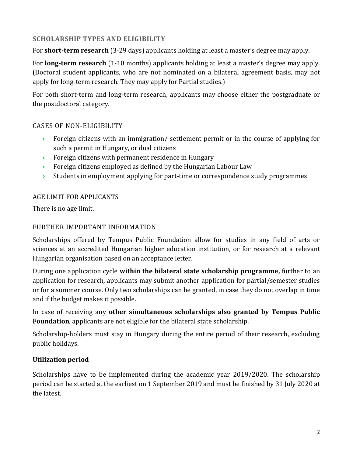# **SCHOLARSHIP TYPES AND ELIGIBILITY**

For **short-term research** (3-29 days) applicants holding at least a master's degree may apply.

For **long-term research** (1-10 months) applicants holding at least a master's degree may apply. (Doctoral student applicants, who are not nominated on a bilateral agreement basis, may not apply for long-term research. They may apply for Partial studies.)

For both short-term and long-term research, applicants may choose either the postgraduate or the postdoctoral category.

### CASES OF NON-ELIGIBILITY

- $\rightarrow$  Foreign citizens with an immigration/ settlement permit or in the course of applying for such a permit in Hungary, or dual citizens
- **Foreign citizens with permanent residence in Hungary**
- **Foreign citizens employed as defined by the Hungarian Labour Law**
- Students in employment applying for part-time or correspondence study programmes

## AGE LIMIT FOR APPLICANTS

There is no age limit.

### FURTHER IMPORTANT INFORMATION

Scholarships offered by Tempus Public Foundation allow for studies in any field of arts or sciences at an accredited Hungarian higher education institution, or for research at a relevant Hungarian organisation based on an acceptance letter.

During one application cycle **within the bilateral state scholarship programme,** further to an application for research, applicants may submit another application for partial/semester studies or for a summer course. Only two scholarships can be granted, in case they do not overlap in time and if the budget makes it possible.

In case of receiving any **other simultaneous scholarships also granted by Tempus Public Foundation**, applicants are not eligible for the bilateral state scholarship.

Scholarship-holders must stay in Hungary during the entire period of their research, excluding public holidays.

# **Utilization period**

Scholarships have to be implemented during the academic year 2019/2020. The scholarship period can be started at the earliest on 1 September 2019 and must be finished by 31 July 2020 at the latest.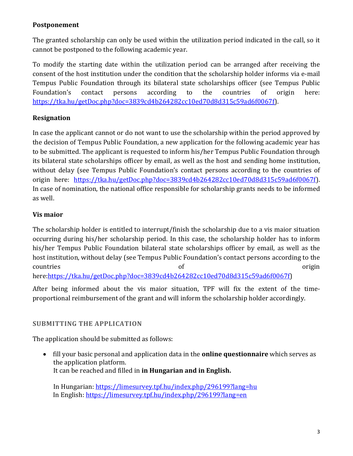# **Postponement**

The granted scholarship can only be used within the utilization period indicated in the call, so it cannot be postponed to the following academic year.

To modify the starting date within the utilization period can be arranged after receiving the consent of the host institution under the condition that the scholarship holder informs via e-mail Tempus Public Foundation through its bilateral state scholarships officer (see Tempus Public Foundation's contact persons according to the countries of origin here: [https://tka.hu/getDoc.php?doc=3839cd4b264282cc10ed70d8d315c59ad6f0067f\)](https://tka.hu/getDoc.php?doc=3839cd4b264282cc10ed70d8d315c59ad6f0067f).

# **Resignation**

In case the applicant cannot or do not want to use the scholarship within the period approved by the decision of Tempus Public Foundation, a new application for the following academic year has to be submitted. The applicant is requested to inform his/her Tempus Public Foundation through its bilateral state scholarships officer by email, as well as the host and sending home institution, without delay (see Tempus Public Foundation's contact persons according to the countries of origin here: [https://tka.hu/getDoc.php?doc=3839cd4b264282cc10ed70d8d315c59ad6f0067f\)](https://tka.hu/getDoc.php?doc=3839cd4b264282cc10ed70d8d315c59ad6f0067f). In case of nomination, the national office responsible for scholarship grants needs to be informed as well.

# **Vis maior**

The scholarship holder is entitled to interrupt/finish the scholarship due to a vis maior situation occurring during his/her scholarship period. In this case, the scholarship holder has to inform his/her Tempus Public Foundation bilateral state scholarships officer by email, as well as the host institution, without delay (see Tempus Public Foundation's contact persons according to the countries of the origin of the origin origin origin that  $\alpha$ 

here[:https://tka.hu/getDoc.php?doc=3839cd4b264282cc10ed70d8d315c59ad6f0067f\)](https://tka.hu/getDoc.php?doc=3839cd4b264282cc10ed70d8d315c59ad6f0067f)

After being informed about the vis maior situation, TPF will fix the extent of the timeproportional reimbursement of the grant and will inform the scholarship holder accordingly.

# **SUBMITTING THE APPLICATION**

The application should be submitted as follows:

 fill your basic personal and application data in the **online questionnaire** which serves as the application platform. It can be reached and filled in **in Hungarian and in English.**

In Hungarian:<https://limesurvey.tpf.hu/index.php/296199?lang=hu> In English: <https://limesurvey.tpf.hu/index.php/296199?lang=en>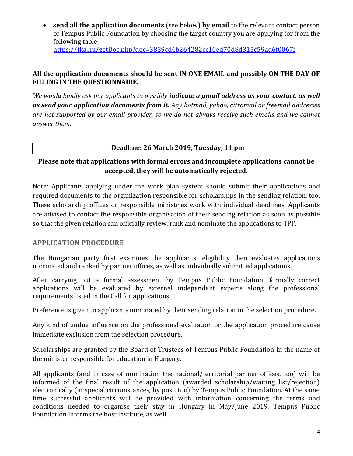**send all the application documents** (see below) **by email** to the relevant contact person of Tempus Public Foundation by choosing the target country you are applying for from the following table: <https://tka.hu/getDoc.php?doc=3839cd4b264282cc10ed70d8d315c59ad6f0067f>

### **All the application documents should be sent IN ONE EMAIL and possibly ON THE DAY OF FILLING IN THE QUESTIONNAIRE.**

*We would kindly ask our applicants to possibly indicate a gmail address as your contact, as well as send your application documents from it. Any hotmail, yahoo, citromail or freemail addresses are not supported by our email provider, so we do not always receive such emails and we cannot answer them.*

### **Deadline: 26 March 2019, Tuesday, 11 pm**

# **Please note that applications with formal errors and incomplete applications cannot be accepted, they will be automatically rejected.**

Note: Applicants applying under the work plan system should submit their applications and required documents to the organization responsible for scholarships in the sending relation, too. These scholarship offices or responsible ministries work with individual deadlines. Applicants are advised to contact the responsible organisation of their sending relation as soon as possible so that the given relation can officially review, rank and nominate the applications to TPF.

#### **APPLICATION PROCEDURE**

The Hungarian party first examines the applicants' eligibility then evaluates applications nominated and ranked by partner offices, as well as individually submitted applications.

After carrying out a formal assessment by Tempus Public Foundation, formally correct applications will be evaluated by external independent experts along the professional requirements listed in the Call for applications.

Preference is given to applicants nominated by their sending relation in the selection procedure.

Any kind of undue influence on the professional evaluation or the application procedure cause immediate exclusion from the selection procedure.

Scholarships are granted by the Board of Trustees of Tempus Public Foundation in the name of the minister responsible for education in Hungary.

All applicants (and in case of nomination the national/territorial partner offices, too) will be informed of the final result of the application (awarded scholarship/waiting list/rejection) electronically (in special circumstances, by post, too) by Tempus Public Foundation. At the same time successful applicants will be provided with information concerning the terms and conditions needed to organise their stay in Hungary in May/June 2019. Tempus Public Foundation informs the host institute, as well.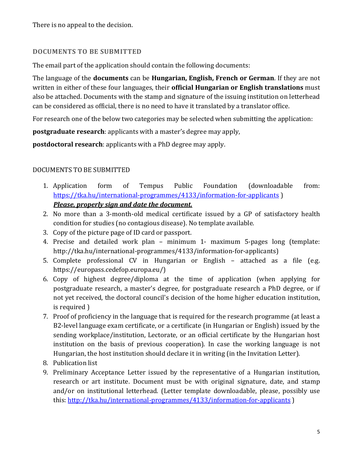There is no appeal to the decision.

### **DOCUMENTS TO BE SUBMITTED**

The email part of the application should contain the following documents:

The language of the **documents** can be **Hungarian, English, French or German**. If they are not written in either of these four languages, their **official Hungarian or English translations** must also be attached. Documents with the stamp and signature of the issuing institution on letterhead can be considered as official, there is no need to have it translated by a translator office.

For research one of the below two categories may be selected when submitting the application:

**postgraduate research**: applicants with a master's degree may apply,

**postdoctoral research**: applicants with a PhD degree may apply.

### DOCUMENTS TO BE SUBMITTED

- 1. Application form of Tempus Public Foundation (downloadable from: <https://tka.hu/international-programmes/4133/information-for-applicants> ) *Please, properly sign and date the document.*
- 2. No more than a 3-month-old medical certificate issued by a GP of satisfactory health condition for studies (no contagious disease). No template available.
- 3. Copy of the picture page of ID card or passport.
- 4. Precise and detailed work plan minimum 1- maximum 5-pages long (template: http://tka.hu/international-programmes/4133/information-for-applicants)
- 5. Complete professional CV in Hungarian or English attached as a file (e.g. https://europass.cedefop.europa.eu/)
- 6. Copy of highest degree/diploma at the time of application (when applying for postgraduate research, a master's degree, for postgraduate research a PhD degree, or if not yet received, the doctoral council's decision of the home higher education institution, is required )
- 7. Proof of proficiency in the language that is required for the research programme (at least a B2-level language exam certificate, or a certificate (in Hungarian or English) issued by the sending workplace/institution, Lectorate, or an official certificate by the Hungarian host institution on the basis of previous cooperation). In case the working language is not Hungarian, the host institution should declare it in writing (in the Invitation Letter).
- 8. Publication list
- 9. Preliminary Acceptance Letter issued by the representative of a Hungarian institution, research or art institute. Document must be with original signature, date, and stamp and/or on institutional letterhead. (Letter template downloadable, please, possibly use this[: http://tka.hu/international-programmes/4133/information-for-applicants](http://tka.hu/international-programmes/4133/information-for-applicants) )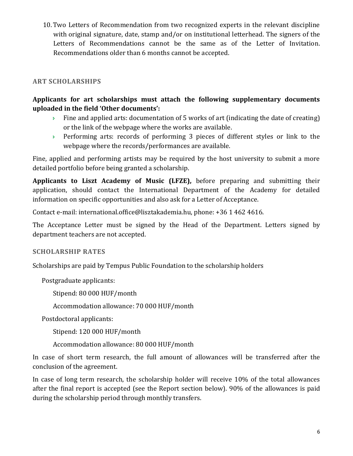10.Two Letters of Recommendation from two recognized experts in the relevant discipline with original signature, date, stamp and/or on institutional letterhead. The signers of the Letters of Recommendations cannot be the same as of the Letter of Invitation. Recommendations older than 6 months cannot be accepted.

### **ART SCHOLARSHIPS**

# **Applicants for art scholarships must attach the following supplementary documents uploaded in the field 'Other documents':**

- Fine and applied arts: documentation of 5 works of art (indicating the date of creating) or the link of the webpage where the works are available.
- Performing arts: records of performing 3 pieces of different styles or link to the webpage where the records/performances are available.

Fine, applied and performing artists may be required by the host university to submit a more detailed portfolio before being granted a scholarship.

**Applicants to Liszt Academy of Music (LFZE),** before preparing and submitting their application, should contact the International Department of the Academy for detailed information on specific opportunities and also ask for a Letter of Acceptance.

Contact e-mail: [international.office@lisztakademia.hu,](mailto:international.office@lisztakademia.hu) phone: +36 1 462 4616.

The Acceptance Letter must be signed by the Head of the Department. Letters signed by department teachers are not accepted.

#### **SCHOLARSHIP RATES**

Scholarships are paid by Tempus Public Foundation to the scholarship holders

Postgraduate applicants:

Stipend: 80 000 HUF/month

Accommodation allowance: 70 000 HUF/month

Postdoctoral applicants:

Stipend: 120 000 HUF/month

Accommodation allowance: 80 000 HUF/month

In case of short term research, the full amount of allowances will be transferred after the conclusion of the agreement.

In case of long term research, the scholarship holder will receive 10% of the total allowances after the final report is accepted (see the Report section below). 90% of the allowances is paid during the scholarship period through monthly transfers.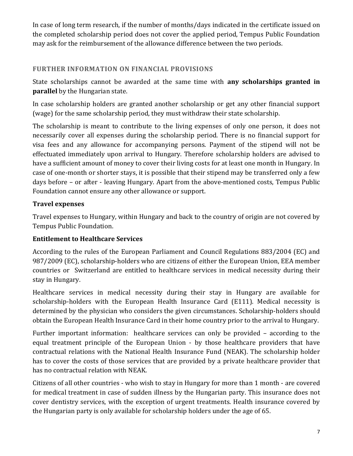In case of long term research, if the number of months/days indicated in the certificate issued on the completed scholarship period does not cover the applied period, Tempus Public Foundation may ask for the reimbursement of the allowance difference between the two periods.

## **FURTHER INFORMATION ON FINANCIAL PROVISIONS**

State scholarships cannot be awarded at the same time with **any scholarships granted in parallel** by the Hungarian state.

In case scholarship holders are granted another scholarship or get any other financial support (wage) for the same scholarship period, they must withdraw their state scholarship.

The scholarship is meant to contribute to the living expenses of only one person, it does not necessarily cover all expenses during the scholarship period. There is no financial support for visa fees and any allowance for accompanying persons. Payment of the stipend will not be effectuated immediately upon arrival to Hungary. Therefore scholarship holders are advised to have a sufficient amount of money to cover their living costs for at least one month in Hungary. In case of one-month or shorter stays, it is possible that their stipend may be transferred only a few days before – or after - leaving Hungary. Apart from the above-mentioned costs, Tempus Public Foundation cannot ensure any other allowance or support.

# **Travel expenses**

Travel expenses to Hungary, within Hungary and back to the country of origin are not covered by Tempus Public Foundation.

### **Entitlement to Healthcare Services**

According to the rules of the European Parliament and Council Regulations 883/2004 (EC) and 987/2009 (EC), scholarship-holders who are citizens of either the European Union, EEA member countries or Switzerland are entitled to healthcare services in medical necessity during their stay in Hungary.

Healthcare services in medical necessity during their stay in Hungary are available for scholarship-holders with the European Health Insurance Card (E111). Medical necessity is determined by the physician who considers the given circumstances. Scholarship-holders should obtain the European Health Insurance Card in their home country prior to the arrival to Hungary.

Further important information: healthcare services can only be provided – according to the equal treatment principle of the European Union - by those healthcare providers that have contractual relations with the National Health Insurance Fund (NEAK). The scholarship holder has to cover the costs of those services that are provided by a private healthcare provider that has no contractual relation with NEAK.

Citizens of all other countries - who wish to stay in Hungary for more than 1 month - are covered for medical treatment in case of sudden illness by the Hungarian party. This insurance does not cover dentistry services, with the exception of urgent treatments. Health insurance covered by the Hungarian party is only available for scholarship holders under the age of 65.